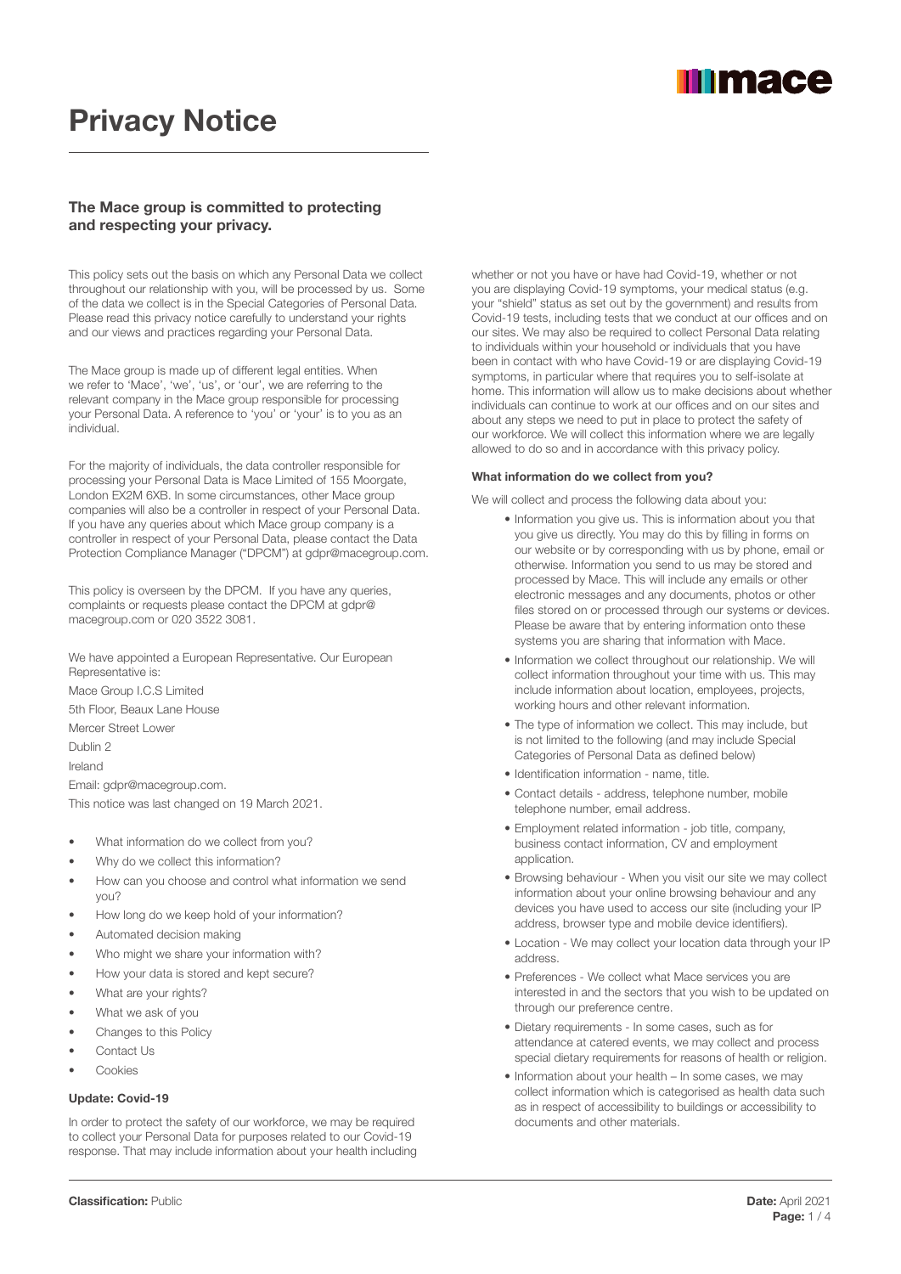

# Privacy Notice

# The Mace group is committed to protecting and respecting your privacy.

This policy sets out the basis on which any Personal Data we collect throughout our relationship with you, will be processed by us. Some of the data we collect is in the Special Categories of Personal Data. Please read this privacy notice carefully to understand your rights and our views and practices regarding your Personal Data.

The Mace group is made up of different legal entities. When we refer to 'Mace', 'we', 'us', or 'our', we are referring to the relevant company in the Mace group responsible for processing your Personal Data. A reference to 'you' or 'your' is to you as an individual.

For the majority of individuals, the data controller responsible for processing your Personal Data is Mace Limited of 155 Moorgate, London EX2M 6XB. In some circumstances, other Mace group companies will also be a controller in respect of your Personal Data. If you have any queries about which Mace group company is a controller in respect of your Personal Data, please contact the Data Protection Compliance Manager ("DPCM") at gdpr@macegroup.com.

This policy is overseen by the DPCM. If you have any queries, complaints or requests please contact the DPCM at gdpr@ macegroup.com or 020 3522 3081.

We have appointed a European Representative. Our European Representative is: Mace Group I.C.S Limited 5th Floor, Beaux Lane House Mercer Street Lower

Dublin 2

Ireland

Email: gdpr@macegroup.com.

This notice was last changed on 19 March 2021.

- What information do we collect from you?
- Why do we collect this information?
- How can you choose and control what information we send you?
- How long do we keep hold of your information?
- Automated decision making
- Who might we share your information with?
- How your data is stored and kept secure?
- What are your rights?
- What we ask of you
- Changes to this Policy
- Contact Us
- **Cookies**

# Update: Covid-19

In order to protect the safety of our workforce, we may be required to collect your Personal Data for purposes related to our Covid-19 response. That may include information about your health including whether or not you have or have had Covid-19, whether or not you are displaying Covid-19 symptoms, your medical status (e.g. your "shield" status as set out by the government) and results from Covid-19 tests, including tests that we conduct at our offices and on our sites. We may also be required to collect Personal Data relating to individuals within your household or individuals that you have been in contact with who have Covid-19 or are displaying Covid-19 symptoms, in particular where that requires you to self-isolate at home. This information will allow us to make decisions about whether individuals can continue to work at our offices and on our sites and about any steps we need to put in place to protect the safety of our workforce. We will collect this information where we are legally allowed to do so and in accordance with this privacy policy.

#### What information do we collect from you?

We will collect and process the following data about you:

- Information you give us. This is information about you that you give us directly. You may do this by filling in forms on our website or by corresponding with us by phone, email or otherwise. Information you send to us may be stored and processed by Mace. This will include any emails or other electronic messages and any documents, photos or other files stored on or processed through our systems or devices. Please be aware that by entering information onto these systems you are sharing that information with Mace.
- Information we collect throughout our relationship. We will collect information throughout your time with us. This may include information about location, employees, projects, working hours and other relevant information.
- The type of information we collect. This may include, but is not limited to the following (and may include Special Categories of Personal Data as defined below)
- Identification information name, title.
- Contact details address, telephone number, mobile telephone number, email address.
- Employment related information job title, company, business contact information, CV and employment application.
- Browsing behaviour When you visit our site we may collect information about your online browsing behaviour and any devices you have used to access our site (including your IP address, browser type and mobile device identifiers).
- Location We may collect your location data through your IP address.
- Preferences We collect what Mace services you are interested in and the sectors that you wish to be updated on through our preference centre.
- Dietary requirements In some cases, such as for attendance at catered events, we may collect and process special dietary requirements for reasons of health or religion.
- Information about your health In some cases, we may collect information which is categorised as health data such as in respect of accessibility to buildings or accessibility to documents and other materials.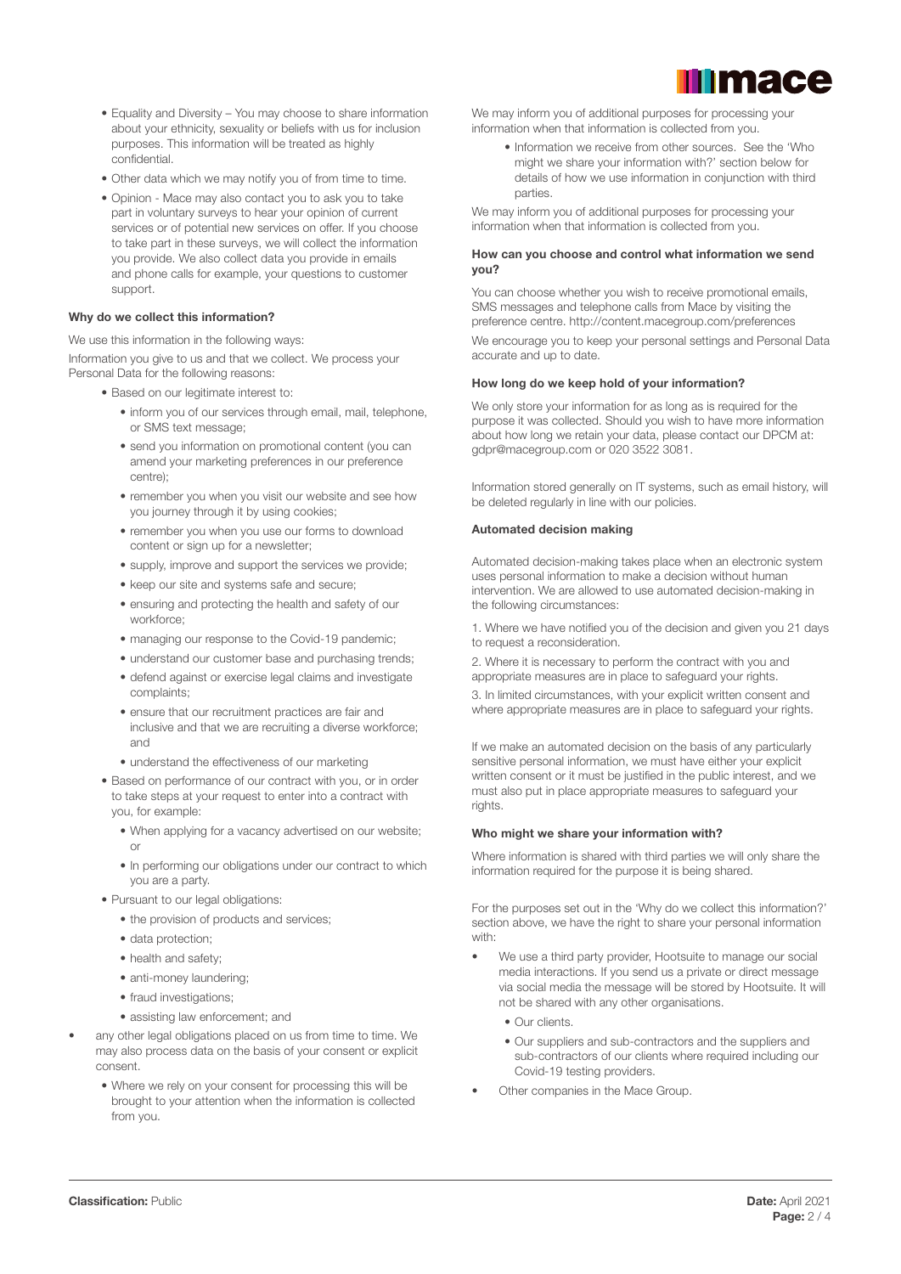

- Equality and Diversity You may choose to share information about your ethnicity, sexuality or beliefs with us for inclusion purposes. This information will be treated as highly confidential.
- Other data which we may notify you of from time to time.
- Opinion Mace may also contact you to ask you to take part in voluntary surveys to hear your opinion of current services or of potential new services on offer. If you choose to take part in these surveys, we will collect the information you provide. We also collect data you provide in emails and phone calls for example, your questions to customer support.

#### Why do we collect this information?

We use this information in the following ways:

Information you give to us and that we collect. We process your Personal Data for the following reasons:

- Based on our legitimate interest to:
	- inform you of our services through email, mail, telephone, or SMS text message;
	- send you information on promotional content (you can amend your marketing preferences in our preference centre);
	- remember you when you visit our website and see how you journey through it by using cookies;
	- remember you when you use our forms to download content or sign up for a newsletter;
	- supply, improve and support the services we provide;
	- keep our site and systems safe and secure;
	- ensuring and protecting the health and safety of our workforce;
	- managing our response to the Covid-19 pandemic;
	- understand our customer base and purchasing trends;
	- defend against or exercise legal claims and investigate complaints;
	- ensure that our recruitment practices are fair and inclusive and that we are recruiting a diverse workforce; and
	- understand the effectiveness of our marketing
- Based on performance of our contract with you, or in order to take steps at your request to enter into a contract with you, for example:
	- When applying for a vacancy advertised on our website; or
	- In performing our obligations under our contract to which you are a party.
- Pursuant to our legal obligations:
	- the provision of products and services:
	- data protection;
	- health and safety;
	- anti-money laundering;
	- fraud investigations;
	- assisting law enforcement; and
- any other legal obligations placed on us from time to time. We may also process data on the basis of your consent or explicit consent.
	- Where we rely on your consent for processing this will be brought to your attention when the information is collected from you.

We may inform you of additional purposes for processing your information when that information is collected from you.

• Information we receive from other sources. See the 'Who might we share your information with?' section below for details of how we use information in conjunction with third parties.

We may inform you of additional purposes for processing your information when that information is collected from you.

#### How can you choose and control what information we send you?

You can choose whether you wish to receive promotional emails, SMS messages and telephone calls from Mace by visiting the preference centre. http://content.macegroup.com/preferences

We encourage you to keep your personal settings and Personal Data accurate and up to date.

#### How long do we keep hold of your information?

We only store your information for as long as is required for the purpose it was collected. Should you wish to have more information about how long we retain your data, please contact our DPCM at: gdpr@macegroup.com or 020 3522 3081.

Information stored generally on IT systems, such as email history, will be deleted regularly in line with our policies.

#### Automated decision making

Automated decision-making takes place when an electronic system uses personal information to make a decision without human intervention. We are allowed to use automated decision-making in the following circumstances:

1. Where we have notified you of the decision and given you 21 days to request a reconsideration.

2. Where it is necessary to perform the contract with you and appropriate measures are in place to safeguard your rights.

3. In limited circumstances, with your explicit written consent and where appropriate measures are in place to safeguard your rights.

If we make an automated decision on the basis of any particularly sensitive personal information, we must have either your explicit written consent or it must be justified in the public interest, and we must also put in place appropriate measures to safeguard your rights.

# Who might we share your information with?

Where information is shared with third parties we will only share the information required for the purpose it is being shared.

For the purposes set out in the 'Why do we collect this information?' section above, we have the right to share your personal information with:

- We use a third party provider, Hootsuite to manage our social media interactions. If you send us a private or direct message via social media the message will be stored by Hootsuite. It will not be shared with any other organisations.
	- Our clients.
	- Our suppliers and sub-contractors and the suppliers and sub-contractors of our clients where required including our Covid-19 testing providers.
- Other companies in the Mace Group.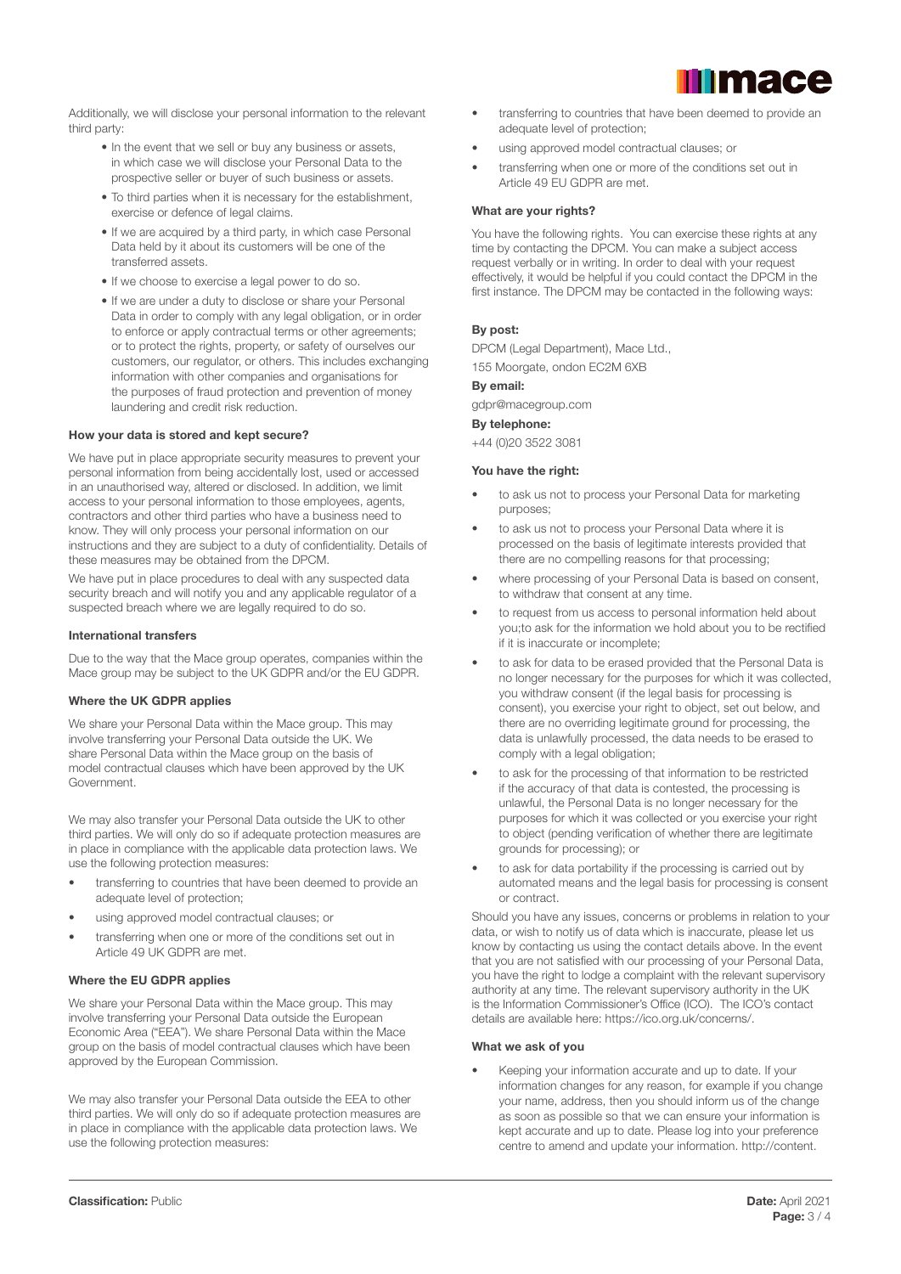

Additionally, we will disclose your personal information to the relevant third party:

- In the event that we sell or buy any business or assets, in which case we will disclose your Personal Data to the prospective seller or buyer of such business or assets.
- To third parties when it is necessary for the establishment, exercise or defence of legal claims.
- If we are acquired by a third party, in which case Personal Data held by it about its customers will be one of the transferred assets.
- If we choose to exercise a legal power to do so.
- If we are under a duty to disclose or share your Personal Data in order to comply with any legal obligation, or in order to enforce or apply contractual terms or other agreements; or to protect the rights, property, or safety of ourselves our customers, our regulator, or others. This includes exchanging information with other companies and organisations for the purposes of fraud protection and prevention of money laundering and credit risk reduction.

#### How your data is stored and kept secure?

We have put in place appropriate security measures to prevent your personal information from being accidentally lost, used or accessed in an unauthorised way, altered or disclosed. In addition, we limit access to your personal information to those employees, agents, contractors and other third parties who have a business need to know. They will only process your personal information on our instructions and they are subject to a duty of confidentiality. Details of these measures may be obtained from the DPCM.

We have put in place procedures to deal with any suspected data security breach and will notify you and any applicable regulator of a suspected breach where we are legally required to do so.

#### International transfers

Due to the way that the Mace group operates, companies within the Mace group may be subject to the UK GDPR and/or the EU GDPR.

#### Where the UK GDPR applies

We share your Personal Data within the Mace group. This may involve transferring your Personal Data outside the UK. We share Personal Data within the Mace group on the basis of model contractual clauses which have been approved by the UK Government.

We may also transfer your Personal Data outside the UK to other third parties. We will only do so if adequate protection measures are in place in compliance with the applicable data protection laws. We use the following protection measures:

- transferring to countries that have been deemed to provide an adequate level of protection;
- using approved model contractual clauses; or
- transferring when one or more of the conditions set out in Article 49 UK GDPR are met.

# Where the EU GDPR applies

We share your Personal Data within the Mace group. This may involve transferring your Personal Data outside the European Economic Area ("EEA"). We share Personal Data within the Mace group on the basis of model contractual clauses which have been approved by the European Commission.

We may also transfer your Personal Data outside the EEA to other third parties. We will only do so if adequate protection measures are in place in compliance with the applicable data protection laws. We use the following protection measures:

- transferring to countries that have been deemed to provide an adequate level of protection;
- using approved model contractual clauses; or
- transferring when one or more of the conditions set out in Article 49 EU GDPR are met.

#### What are your rights?

You have the following rights. You can exercise these rights at any time by contacting the DPCM. You can make a subject access request verbally or in writing. In order to deal with your request effectively, it would be helpful if you could contact the DPCM in the first instance. The DPCM may be contacted in the following ways:

# By post:

DPCM (Legal Department), Mace Ltd.,

155 Moorgate, ondon EC2M 6XB

# By email:

gdpr@macegroup.com

# By telephone:

+44 (0)20 3522 3081

#### You have the right:

- to ask us not to process your Personal Data for marketing purposes;
- to ask us not to process your Personal Data where it is processed on the basis of legitimate interests provided that there are no compelling reasons for that processing;
- where processing of your Personal Data is based on consent, to withdraw that consent at any time.
- to request from us access to personal information held about you;to ask for the information we hold about you to be rectified if it is inaccurate or incomplete;
- to ask for data to be erased provided that the Personal Data is no longer necessary for the purposes for which it was collected, you withdraw consent (if the legal basis for processing is consent), you exercise your right to object, set out below, and there are no overriding legitimate ground for processing, the data is unlawfully processed, the data needs to be erased to comply with a legal obligation;
- to ask for the processing of that information to be restricted if the accuracy of that data is contested, the processing is unlawful, the Personal Data is no longer necessary for the purposes for which it was collected or you exercise your right to object (pending verification of whether there are legitimate grounds for processing); or
- to ask for data portability if the processing is carried out by automated means and the legal basis for processing is consent or contract.

Should you have any issues, concerns or problems in relation to your data, or wish to notify us of data which is inaccurate, please let us know by contacting us using the contact details above. In the event that you are not satisfied with our processing of your Personal Data, you have the right to lodge a complaint with the relevant supervisory authority at any time. The relevant supervisory authority in the UK is the Information Commissioner's Office (ICO). The ICO's contact details are available here: https://ico.org.uk/concerns/.

# What we ask of you

• Keeping your information accurate and up to date. If your information changes for any reason, for example if you change your name, address, then you should inform us of the change as soon as possible so that we can ensure your information is kept accurate and up to date. Please log into your preference centre to amend and update your information. http://content.